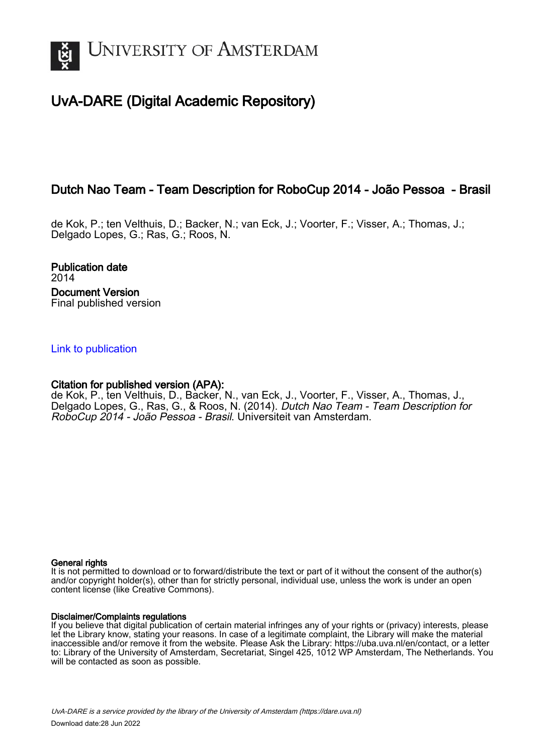

# UvA-DARE (Digital Academic Repository)

# Dutch Nao Team - Team Description for RoboCup 2014 - João Pessoa - Brasil

de Kok, P.; ten Velthuis, D.; Backer, N.; van Eck, J.; Voorter, F.; Visser, A.; Thomas, J.; Delgado Lopes, G.; Ras, G.; Roos, N.

Publication date 2014 Document Version Final published version

# [Link to publication](https://dare.uva.nl/personal/pure/en/publications/dutch-nao-team--team-description-for-robocup-2014--joao-pessoa--brasil(d2d1a84e-e6dc-431f-83eb-9fb2ea12ba65).html)

# Citation for published version (APA):

de Kok, P., ten Velthuis, D., Backer, N., van Eck, J., Voorter, F., Visser, A., Thomas, J., Delgado Lopes, G., Ras, G., & Roos, N. (2014). Dutch Nao Team - Team Description for RoboCup 2014 - João Pessoa - Brasil. Universiteit van Amsterdam.

# General rights

It is not permitted to download or to forward/distribute the text or part of it without the consent of the author(s) and/or copyright holder(s), other than for strictly personal, individual use, unless the work is under an open content license (like Creative Commons).

# Disclaimer/Complaints regulations

If you believe that digital publication of certain material infringes any of your rights or (privacy) interests, please let the Library know, stating your reasons. In case of a legitimate complaint, the Library will make the material inaccessible and/or remove it from the website. Please Ask the Library: https://uba.uva.nl/en/contact, or a letter to: Library of the University of Amsterdam, Secretariat, Singel 425, 1012 WP Amsterdam, The Netherlands. You will be contacted as soon as possible.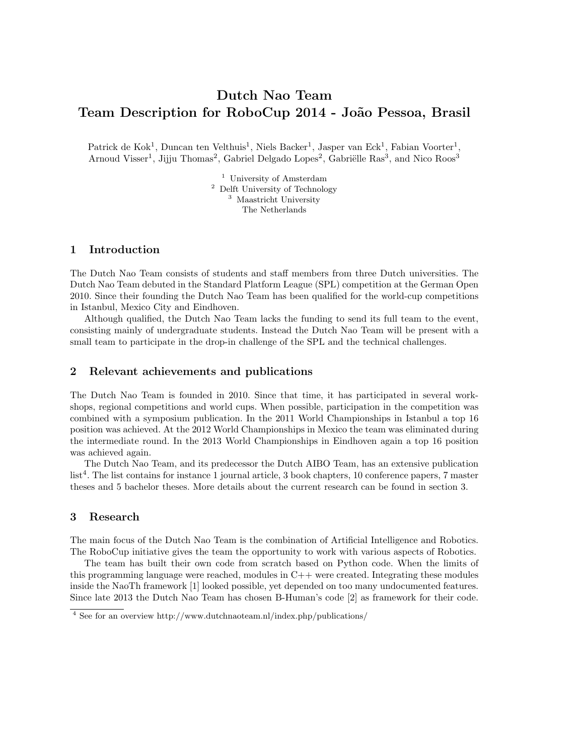# Dutch Nao Team Team Description for RoboCup 2014 - João Pessoa, Brasil

Patrick de Kok<sup>1</sup>, Duncan ten Velthuis<sup>1</sup>, Niels Backer<sup>1</sup>, Jasper van Eck<sup>1</sup>, Fabian Voorter<sup>1</sup>, Arnoud Visser<sup>1</sup>, Jijju Thomas<sup>2</sup>, Gabriel Delgado Lopes<sup>2</sup>, Gabrielle Ras<sup>3</sup>, and Nico Roos<sup>3</sup>

> University of Amsterdam Delft University of Technology Maastricht University The Netherlands

### 1 Introduction

The Dutch Nao Team consists of students and staff members from three Dutch universities. The Dutch Nao Team debuted in the Standard Platform League (SPL) competition at the German Open 2010. Since their founding the Dutch Nao Team has been qualified for the world-cup competitions in Istanbul, Mexico City and Eindhoven.

Although qualified, the Dutch Nao Team lacks the funding to send its full team to the event, consisting mainly of undergraduate students. Instead the Dutch Nao Team will be present with a small team to participate in the drop-in challenge of the SPL and the technical challenges.

### 2 Relevant achievements and publications

The Dutch Nao Team is founded in 2010. Since that time, it has participated in several workshops, regional competitions and world cups. When possible, participation in the competition was combined with a symposium publication. In the 2011 World Championships in Istanbul a top 16 position was achieved. At the 2012 World Championships in Mexico the team was eliminated during the intermediate round. In the 2013 World Championships in Eindhoven again a top 16 position was achieved again.

The Dutch Nao Team, and its predecessor the Dutch AIBO Team, has an extensive publication list<sup>[4](#page-1-0)</sup>. The list contains for instance 1 journal article, 3 book chapters, 10 conference papers, 7 master theses and 5 bachelor theses. More details about the current research can be found in section [3.](#page-1-1)

## <span id="page-1-1"></span>3 Research

The main focus of the Dutch Nao Team is the combination of Artificial Intelligence and Robotics. The RoboCup initiative gives the team the opportunity to work with various aspects of Robotics.

The team has built their own code from scratch based on Python code. When the limits of this programming language were reached, modules in C++ were created. Integrating these modules inside the NaoTh framework [\[1\]](#page-8-0) looked possible, yet depended on too many undocumented features. Since late 2013 the Dutch Nao Team has chosen B-Human's code [\[2\]](#page-8-1) as framework for their code.

<span id="page-1-0"></span><sup>4</sup> See for an overview<http://www.dutchnaoteam.nl/index.php/publications/>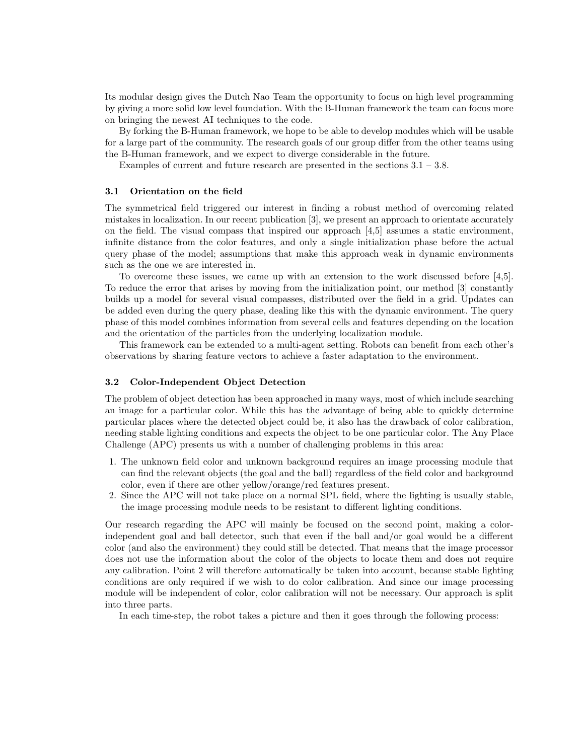Its modular design gives the Dutch Nao Team the opportunity to focus on high level programming by giving a more solid low level foundation. With the B-Human framework the team can focus more on bringing the newest AI techniques to the code.

By forking the B-Human framework, we hope to be able to develop modules which will be usable for a large part of the community. The research goals of our group differ from the other teams using the B-Human framework, and we expect to diverge considerable in the future.

Examples of current and future research are presented in the sections  $3.1 - 3.8$ .

#### <span id="page-2-0"></span>3.1 Orientation on the field

The symmetrical field triggered our interest in finding a robust method of overcoming related mistakes in localization. In our recent publication [\[3\]](#page-8-2), we present an approach to orientate accurately on the field. The visual compass that inspired our approach [\[4,](#page-8-3)[5\]](#page-8-4) assumes a static environment, infinite distance from the color features, and only a single initialization phase before the actual query phase of the model; assumptions that make this approach weak in dynamic environments such as the one we are interested in.

To overcome these issues, we came up with an extension to the work discussed before [\[4,](#page-8-3)[5\]](#page-8-4). To reduce the error that arises by moving from the initialization point, our method [\[3\]](#page-8-2) constantly builds up a model for several visual compasses, distributed over the field in a grid. Updates can be added even during the query phase, dealing like this with the dynamic environment. The query phase of this model combines information from several cells and features depending on the location and the orientation of the particles from the underlying localization module.

This framework can be extended to a multi-agent setting. Robots can benefit from each other's observations by sharing feature vectors to achieve a faster adaptation to the environment.

#### 3.2 Color-Independent Object Detection

The problem of object detection has been approached in many ways, most of which include searching an image for a particular color. While this has the advantage of being able to quickly determine particular places where the detected object could be, it also has the drawback of color calibration, needing stable lighting conditions and expects the object to be one particular color. The Any Place Challenge (APC) presents us with a number of challenging problems in this area:

- 1. The unknown field color and unknown background requires an image processing module that can find the relevant objects (the goal and the ball) regardless of the field color and background color, even if there are other yellow/orange/red features present.
- 2. Since the APC will not take place on a normal SPL field, where the lighting is usually stable, the image processing module needs to be resistant to different lighting conditions.

Our research regarding the APC will mainly be focused on the second point, making a colorindependent goal and ball detector, such that even if the ball and/or goal would be a different color (and also the environment) they could still be detected. That means that the image processor does not use the information about the color of the objects to locate them and does not require any calibration. Point 2 will therefore automatically be taken into account, because stable lighting conditions are only required if we wish to do color calibration. And since our image processing module will be independent of color, color calibration will not be necessary. Our approach is split into three parts.

In each time-step, the robot takes a picture and then it goes through the following process: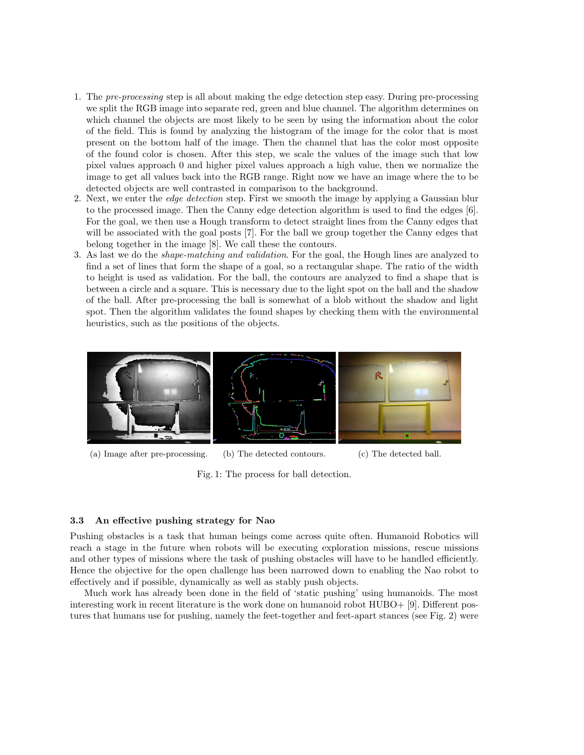- 1. The pre-processing step is all about making the edge detection step easy. During pre-processing we split the RGB image into separate red, green and blue channel. The algorithm determines on which channel the objects are most likely to be seen by using the information about the color of the field. This is found by analyzing the histogram of the image for the color that is most present on the bottom half of the image. Then the channel that has the color most opposite of the found color is chosen. After this step, we scale the values of the image such that low pixel values approach 0 and higher pixel values approach a high value, then we normalize the image to get all values back into the RGB range. Right now we have an image where the to be detected objects are well contrasted in comparison to the background.
- 2. Next, we enter the edge detection step. First we smooth the image by applying a Gaussian blur to the processed image. Then the Canny edge detection algorithm is used to find the edges [\[6\]](#page-8-5). For the goal, we then use a Hough transform to detect straight lines from the Canny edges that will be associated with the goal posts [\[7\]](#page-8-6). For the ball we group together the Canny edges that belong together in the image [\[8\]](#page-8-7). We call these the contours.
- 3. As last we do the shape-matching and validation. For the goal, the Hough lines are analyzed to find a set of lines that form the shape of a goal, so a rectangular shape. The ratio of the width to height is used as validation. For the ball, the contours are analyzed to find a shape that is between a circle and a square. This is necessary due to the light spot on the ball and the shadow of the ball. After pre-processing the ball is somewhat of a blob without the shadow and light spot. Then the algorithm validates the found shapes by checking them with the environmental heuristics, such as the positions of the objects.



(a) Image after pre-processing. (b) The detected contours. (c) The detected ball.

Fig. 1: The process for ball detection.

#### 3.3 An effective pushing strategy for Nao

Pushing obstacles is a task that human beings come across quite often. Humanoid Robotics will reach a stage in the future when robots will be executing exploration missions, rescue missions and other types of missions where the task of pushing obstacles will have to be handled efficiently. Hence the objective for the open challenge has been narrowed down to enabling the Nao robot to effectively and if possible, dynamically as well as stably push objects.

Much work has already been done in the field of 'static pushing' using humanoids. The most interesting work in recent literature is the work done on humanoid robot HUBO+ [\[9\]](#page-8-8). Different postures that humans use for pushing, namely the feet-together and feet-apart stances (see Fig. [2\)](#page-4-0) were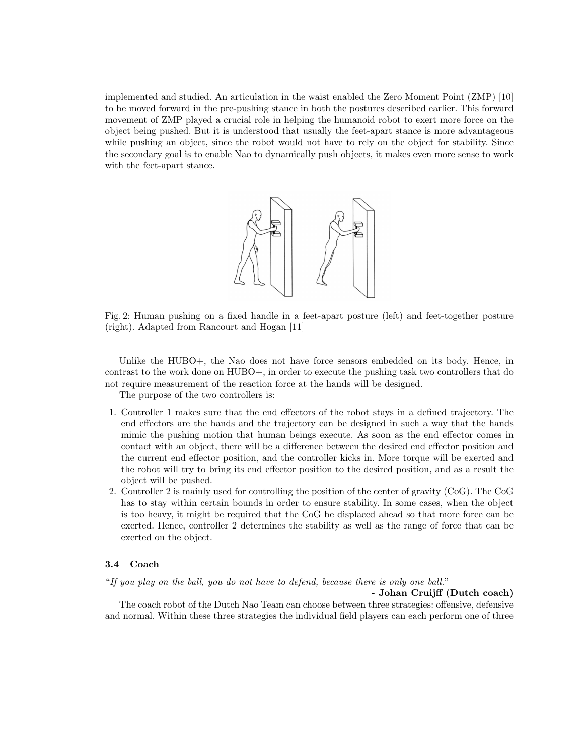<span id="page-4-0"></span>implemented and studied. An articulation in the waist enabled the Zero Moment Point (ZMP) [\[10\]](#page-8-9) to be moved forward in the pre-pushing stance in both the postures described earlier. This forward movement of ZMP played a crucial role in helping the humanoid robot to exert more force on the object being pushed. But it is understood that usually the feet-apart stance is more advantageous while pushing an object, since the robot would not have to rely on the object for stability. Since the secondary goal is to enable Nao to dynamically push objects, it makes even more sense to work with the feet-apart stance.



Fig. 2: Human pushing on a fixed handle in a feet-apart posture (left) and feet-together posture (right). Adapted from Rancourt and Hogan [\[11\]](#page-8-10)

Unlike the HUBO+, the Nao does not have force sensors embedded on its body. Hence, in contrast to the work done on HUBO+, in order to execute the pushing task two controllers that do not require measurement of the reaction force at the hands will be designed.

The purpose of the two controllers is:

- 1. Controller 1 makes sure that the end effectors of the robot stays in a defined trajectory. The end effectors are the hands and the trajectory can be designed in such a way that the hands mimic the pushing motion that human beings execute. As soon as the end effector comes in contact with an object, there will be a difference between the desired end effector position and the current end effector position, and the controller kicks in. More torque will be exerted and the robot will try to bring its end effector position to the desired position, and as a result the object will be pushed.
- 2. Controller 2 is mainly used for controlling the position of the center of gravity (CoG). The CoG has to stay within certain bounds in order to ensure stability. In some cases, when the object is too heavy, it might be required that the CoG be displaced ahead so that more force can be exerted. Hence, controller 2 determines the stability as well as the range of force that can be exerted on the object.

#### 3.4 Coach

"If you play on the ball, you do not have to defend, because there is only one ball."

- Johan Cruijff (Dutch coach)

The coach robot of the Dutch Nao Team can choose between three strategies: offensive, defensive and normal. Within these three strategies the individual field players can each perform one of three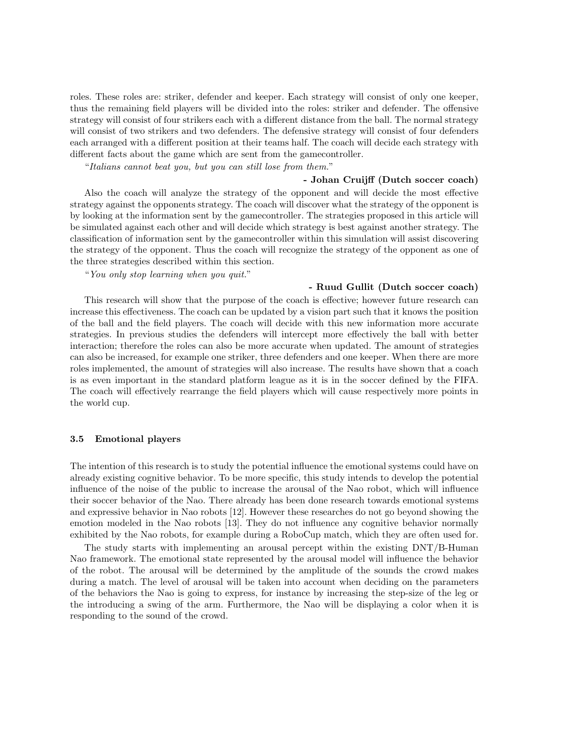roles. These roles are: striker, defender and keeper. Each strategy will consist of only one keeper, thus the remaining field players will be divided into the roles: striker and defender. The offensive strategy will consist of four strikers each with a different distance from the ball. The normal strategy will consist of two strikers and two defenders. The defensive strategy will consist of four defenders each arranged with a different position at their teams half. The coach will decide each strategy with different facts about the game which are sent from the gamecontroller.

"Italians cannot beat you, but you can still lose from them."

#### - Johan Cruijff (Dutch soccer coach)

Also the coach will analyze the strategy of the opponent and will decide the most effective strategy against the opponents strategy. The coach will discover what the strategy of the opponent is by looking at the information sent by the gamecontroller. The strategies proposed in this article will be simulated against each other and will decide which strategy is best against another strategy. The classification of information sent by the gamecontroller within this simulation will assist discovering the strategy of the opponent. Thus the coach will recognize the strategy of the opponent as one of the three strategies described within this section.

"You only stop learning when you quit."

#### - Ruud Gullit (Dutch soccer coach)

This research will show that the purpose of the coach is effective; however future research can increase this effectiveness. The coach can be updated by a vision part such that it knows the position of the ball and the field players. The coach will decide with this new information more accurate strategies. In previous studies the defenders will intercept more effectively the ball with better interaction; therefore the roles can also be more accurate when updated. The amount of strategies can also be increased, for example one striker, three defenders and one keeper. When there are more roles implemented, the amount of strategies will also increase. The results have shown that a coach is as even important in the standard platform league as it is in the soccer defined by the FIFA. The coach will effectively rearrange the field players which will cause respectively more points in the world cup.

#### 3.5 Emotional players

The intention of this research is to study the potential influence the emotional systems could have on already existing cognitive behavior. To be more specific, this study intends to develop the potential influence of the noise of the public to increase the arousal of the Nao robot, which will influence their soccer behavior of the Nao. There already has been done research towards emotional systems and expressive behavior in Nao robots [\[12\]](#page-8-11). However these researches do not go beyond showing the emotion modeled in the Nao robots [\[13\]](#page-8-12). They do not influence any cognitive behavior normally exhibited by the Nao robots, for example during a RoboCup match, which they are often used for.

The study starts with implementing an arousal percept within the existing DNT/B-Human Nao framework. The emotional state represented by the arousal model will influence the behavior of the robot. The arousal will be determined by the amplitude of the sounds the crowd makes during a match. The level of arousal will be taken into account when deciding on the parameters of the behaviors the Nao is going to express, for instance by increasing the step-size of the leg or the introducing a swing of the arm. Furthermore, the Nao will be displaying a color when it is responding to the sound of the crowd.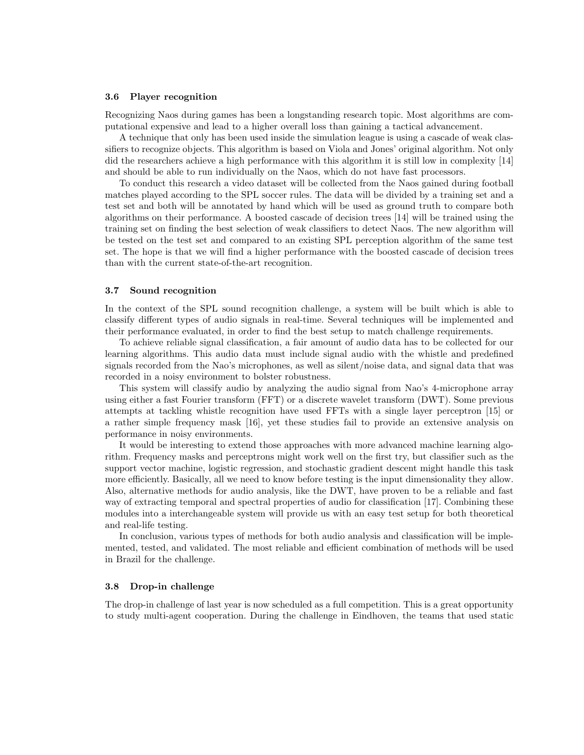#### 3.6 Player recognition

Recognizing Naos during games has been a longstanding research topic. Most algorithms are computational expensive and lead to a higher overall loss than gaining a tactical advancement.

A technique that only has been used inside the simulation league is using a cascade of weak classifiers to recognize objects. This algorithm is based on Viola and Jones' original algorithm. Not only did the researchers achieve a high performance with this algorithm it is still low in complexity [\[14\]](#page-8-13) and should be able to run individually on the Naos, which do not have fast processors.

To conduct this research a video dataset will be collected from the Naos gained during football matches played according to the SPL soccer rules. The data will be divided by a training set and a test set and both will be annotated by hand which will be used as ground truth to compare both algorithms on their performance. A boosted cascade of decision trees [\[14\]](#page-8-13) will be trained using the training set on finding the best selection of weak classifiers to detect Naos. The new algorithm will be tested on the test set and compared to an existing SPL perception algorithm of the same test set. The hope is that we will find a higher performance with the boosted cascade of decision trees than with the current state-of-the-art recognition.

#### 3.7 Sound recognition

In the context of the SPL sound recognition challenge, a system will be built which is able to classify different types of audio signals in real-time. Several techniques will be implemented and their performance evaluated, in order to find the best setup to match challenge requirements.

To achieve reliable signal classification, a fair amount of audio data has to be collected for our learning algorithms. This audio data must include signal audio with the whistle and predefined signals recorded from the Nao's microphones, as well as silent/noise data, and signal data that was recorded in a noisy environment to bolster robustness.

This system will classify audio by analyzing the audio signal from Nao's 4-microphone array using either a fast Fourier transform (FFT) or a discrete wavelet transform (DWT). Some previous attempts at tackling whistle recognition have used FFTs with a single layer perceptron [\[15\]](#page-8-14) or a rather simple frequency mask [\[16\]](#page-8-15), yet these studies fail to provide an extensive analysis on performance in noisy environments.

It would be interesting to extend those approaches with more advanced machine learning algorithm. Frequency masks and perceptrons might work well on the first try, but classifier such as the support vector machine, logistic regression, and stochastic gradient descent might handle this task more efficiently. Basically, all we need to know before testing is the input dimensionality they allow. Also, alternative methods for audio analysis, like the DWT, have proven to be a reliable and fast way of extracting temporal and spectral properties of audio for classification [\[17\]](#page-8-16). Combining these modules into a interchangeable system will provide us with an easy test setup for both theoretical and real-life testing.

In conclusion, various types of methods for both audio analysis and classification will be implemented, tested, and validated. The most reliable and efficient combination of methods will be used in Brazil for the challenge.

#### <span id="page-6-0"></span>3.8 Drop-in challenge

The drop-in challenge of last year is now scheduled as a full competition. This is a great opportunity to study multi-agent cooperation. During the challenge in Eindhoven, the teams that used static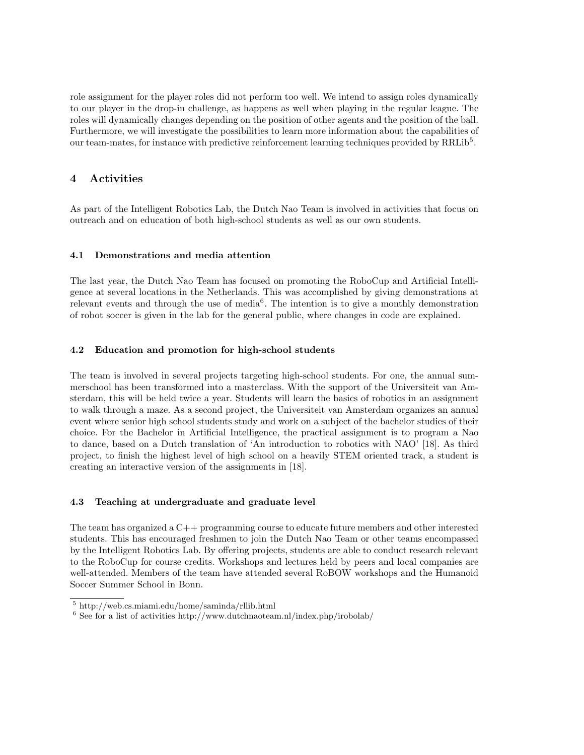role assignment for the player roles did not perform too well. We intend to assign roles dynamically to our player in the drop-in challenge, as happens as well when playing in the regular league. The roles will dynamically changes depending on the position of other agents and the position of the ball. Furthermore, we will investigate the possibilities to learn more information about the capabilities of our team-mates, for instance with predictive reinforcement learning techniques provided by RRLib<sup>[5](#page-7-0)</sup>.

# 4 Activities

As part of the Intelligent Robotics Lab, the Dutch Nao Team is involved in activities that focus on outreach and on education of both high-school students as well as our own students.

### 4.1 Demonstrations and media attention

The last year, the Dutch Nao Team has focused on promoting the RoboCup and Artificial Intelligence at several locations in the Netherlands. This was accomplished by giving demonstrations at relevant events and through the use of media<sup>[6](#page-7-1)</sup>. The intention is to give a monthly demonstration of robot soccer is given in the lab for the general public, where changes in code are explained.

### 4.2 Education and promotion for high-school students

The team is involved in several projects targeting high-school students. For one, the annual summerschool has been transformed into a masterclass. With the support of the Universiteit van Amsterdam, this will be held twice a year. Students will learn the basics of robotics in an assignment to walk through a maze. As a second project, the Universiteit van Amsterdam organizes an annual event where senior high school students study and work on a subject of the bachelor studies of their choice. For the Bachelor in Artificial Intelligence, the practical assignment is to program a Nao to dance, based on a Dutch translation of 'An introduction to robotics with NAO' [\[18\]](#page-8-17). As third project, to finish the highest level of high school on a heavily STEM oriented track, a student is creating an interactive version of the assignments in [\[18\]](#page-8-17).

### 4.3 Teaching at undergraduate and graduate level

The team has organized a C++ programming course to educate future members and other interested students. This has encouraged freshmen to join the Dutch Nao Team or other teams encompassed by the Intelligent Robotics Lab. By offering projects, students are able to conduct research relevant to the RoboCup for course credits. Workshops and lectures held by peers and local companies are well-attended. Members of the team have attended several RoBOW workshops and the Humanoid Soccer Summer School in Bonn.

<span id="page-7-0"></span> $5 \text{ http://web.cs.miami.edu/home/saminda/rllib.html}$  $5 \text{ http://web.cs.miami.edu/home/saminda/rllib.html}$  $5 \text{ http://web.cs.miami.edu/home/saminda/rllib.html}$ 

<span id="page-7-1"></span> $6$  See for a list of activities<http://www.dutchnaoteam.nl/index.php/irobolab/>